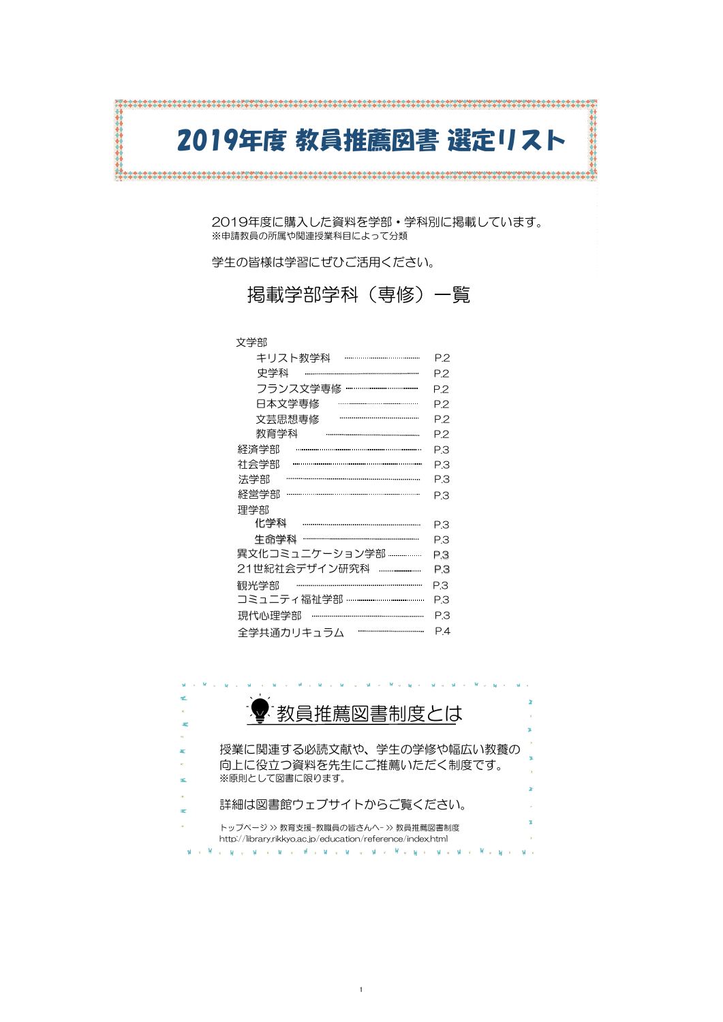# 2019年度 教員推薦図書 選定リスト

2019年度に購入した資料を学部・学科別に掲載しています。 ※申請教員の所属や関連授業科目によって分類

学生の皆様は学習にぜひご活用ください。



掲載学部学科(専修)一覧

# 文学部

| キリスト教学科                  | P.2            |
|--------------------------|----------------|
| 史学科                      | P.2            |
| フランス文学専修 ………………………………    | P.2            |
| 日本文学専修                   | P <sub>2</sub> |
| 文芸思想専修                   | P.2            |
| 教育学科                     | P <sub>2</sub> |
| 経済学部                     | P.3            |
| 社会学部                     | P.З            |
| 法学部                      | P.З            |
| 経営学部                     | P.3            |
| 理学部                      |                |
| 化学科                      | P.З            |
| 生命学科 ………………………………………………… | P.З            |
| 異文化コミュニケーション学部           | PЗ             |
| 21世紀社会デザイン研究科 ……………………   | P.З            |
| 観光学部                     | P.З            |
|                          | n o            |

| 現代心理学部     |  |
|------------|--|
| 全学共通力リキュラム |  |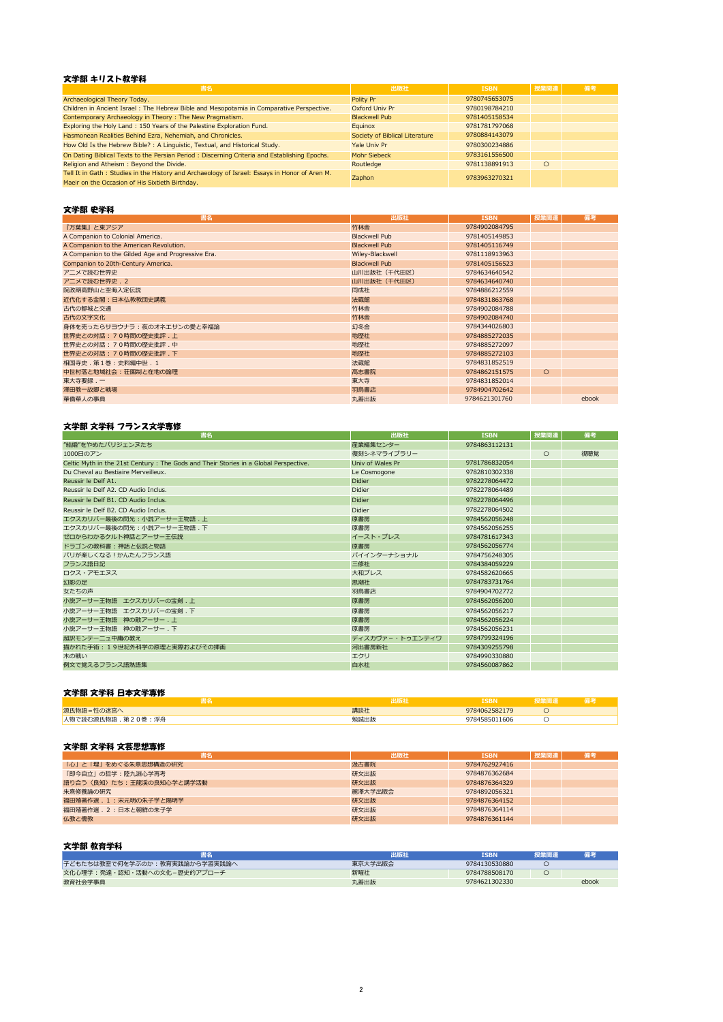## 文学部 キリスト教学科

| 書名                                                                                                                                               | 出版社                            | <b>ISBN</b>   | 授業関連    | 備考 |
|--------------------------------------------------------------------------------------------------------------------------------------------------|--------------------------------|---------------|---------|----|
| Archaeological Theory Today.                                                                                                                     | Polity Pr                      | 9780745653075 |         |    |
| Children in Ancient Israel : The Hebrew Bible and Mesopotamia in Comparative Perspective.                                                        | Oxford Univ Pr                 | 9780198784210 |         |    |
| Contemporary Archaeology in Theory: The New Pragmatism.                                                                                          | <b>Blackwell Pub</b>           | 9781405158534 |         |    |
| Exploring the Holy Land: 150 Years of the Palestine Exploration Fund.                                                                            | Equinox                        | 9781781797068 |         |    |
| Hasmonean Realities Behind Ezra, Nehemiah, and Chronicles.                                                                                       | Society of Biblical Literature | 9780884143079 |         |    |
| How Old Is the Hebrew Bible? : A Linguistic, Textual, and Historical Study.                                                                      | Yale Univ Pr                   | 9780300234886 |         |    |
| On Dating Biblical Texts to the Persian Period: Discerning Criteria and Establishing Epochs.                                                     | Mohr Siebeck                   | 9783161556500 |         |    |
| Religion and Atheism: Beyond the Divide.                                                                                                         | Routledge                      | 9781138891913 | $\circ$ |    |
| Tell It in Gath: Studies in the History and Archaeology of Israel: Essays in Honor of Aren M.<br>Maeir on the Occasion of His Sixtieth Birthday. | Zaphon                         | 9783963270321 |         |    |

#### 文学部 史学科

| 書名                                                 | 出版社                  | <b>ISBN</b>   | 授業関連    | 備考    |
|----------------------------------------------------|----------------------|---------------|---------|-------|
| 『万葉集』と東アジア                                         | 竹林舎                  | 9784902084795 |         |       |
| A Companion to Colonial America.                   | <b>Blackwell Pub</b> | 9781405149853 |         |       |
| A Companion to the American Revolution.            | <b>Blackwell Pub</b> | 9781405116749 |         |       |
| A Companion to the Gilded Age and Progressive Era. | Wiley-Blackwell      | 9781118913963 |         |       |
| Companion to 20th-Century America.                 | <b>Blackwell Pub</b> | 9781405156523 |         |       |
| アニメで読む世界史                                          | 山川出版社 (千代田区)         | 9784634640542 |         |       |
| アニメで読む世界史. 2                                       | 山川出版社 (千代田区)         | 9784634640740 |         |       |
| 院政期高野山と空海入定伝説                                      | 同成社                  | 9784886212559 |         |       |
| 近代化する金閣:日本仏教教団史講義                                  | 法蔵館                  | 9784831863768 |         |       |
| 古代の都城と交通                                           | 竹林舎                  | 9784902084788 |         |       |
| 古代の文字文化                                            | 竹林舎                  | 9784902084740 |         |       |
| 身体を売ったらサヨウナラ : 夜のオネエサンの愛と幸福論                       | 幻冬舎                  | 9784344026803 |         |       |
| 世界史との対話:70時間の歴史批評.上                                | 地歴社                  | 9784885272035 |         |       |
| 世界史との対話: 70時間の歴史批評. 中                              | 地歴社                  | 9784885272097 |         |       |
| 世界史との対話:70時間の歴史批評.下                                | 地歴社                  | 9784885272103 |         |       |
| 相国寺史. 第1巻: 史料編中世. 1                                | 法蔵館                  | 9784831852519 |         |       |
| 中世村落と地域社会:荘園制と在地の論理                                | 高志書院                 | 9784862151575 | $\circ$ |       |
| 東大寺要録.一                                            | 東大寺                  | 9784831852014 |         |       |
| 澤田教一故郷と戦場                                          | 羽鳥書店                 | 9784904702642 |         |       |
| 華僑華人の事典                                            | 丸善出版                 | 9784621301760 |         | ebook |

#### 文学部 文学科 フランス文学専修

| 書名                                                                                   | 出版社              | <b>ISBN</b>   | 授業関連 | 備考  |
|--------------------------------------------------------------------------------------|------------------|---------------|------|-----|
| "結婚"をやめたパリジェンヌたち                                                                     | 産業編集センター         | 9784863112131 |      |     |
| 1000日のアン                                                                             | 復刻シネマライブラリー      |               | О    | 視聴覚 |
| Celtic Myth in the 21st Century: The Gods and Their Stories in a Global Perspective. | Univ of Wales Pr | 9781786832054 |      |     |
| Du Cheval au Bestiaire Merveilleux.                                                  | Le Cosmogone     | 9782810302338 |      |     |
| Reussir le Delf A1.                                                                  | <b>Didier</b>    | 9782278064472 |      |     |
| Reussir le Delf A2, CD Audio Inclus.                                                 | <b>Didier</b>    | 9782278064489 |      |     |
| Reussir le Delf B1. CD Audio Inclus.                                                 | <b>Didier</b>    | 9782278064496 |      |     |
| Reussir le Delf B2. CD Audio Inclus.                                                 | <b>Didier</b>    | 9782278064502 |      |     |
| エクスカリバー最後の閃光:小説アーサー王物語.上                                                             | 原書房              | 9784562056248 |      |     |
| エクスカリバー最後の閃光:小説アーサー王物語.下                                                             | 原書房              | 9784562056255 |      |     |
| ゼロからわかるケルト神話とアーサー王伝説                                                                 | イースト・プレス         | 9784781617343 |      |     |
| ドラゴンの教科書:神話と伝説と物語                                                                    | 原書房              | 9784562056774 |      |     |
| パリが楽しくなる!かんたんフランス語                                                                   | パイインターナショナル      | 9784756248305 |      |     |
| フランス語日記                                                                              | 三修社              | 9784384059229 |      |     |
| ロクス・アモエヌス                                                                            | 大和プレス            | 9784582620665 |      |     |
| 幻影の足                                                                                 | 思潮社              | 9784783731764 |      |     |
| 女たちの声                                                                                | 羽鳥書店             | 9784904702772 |      |     |
| 小説アーサー王物語 エクスカリバーの宝剣. 上                                                              | 原書房              | 9784562056200 |      |     |
| 小説アーサー王物語 エクスカリバーの宝剣.下                                                               | 原書房              | 9784562056217 |      |     |
| 小説アーサー王物語 神の敵アーサー.上                                                                  | 原書房              | 9784562056224 |      |     |
| 小説アーサー王物語 神の敵アーサー.下                                                                  | 原書房              | 9784562056231 |      |     |
| 超訳モンテーニュ中庸の教え                                                                        | ディスカヴァー・トゥエンティワ  | 9784799324196 |      |     |
| 描かれた手術: 19世紀外科学の原理と実際およびその挿画                                                         | 河出書房新社           | 9784309255798 |      |     |
| 木の戦い                                                                                 | エクリ              | 9784990330880 |      |     |
| 例文で覚えるフランス語熟語集                                                                       | 白水社              | 9784560087862 |      |     |

## 文学部 文学科 日本文学専修

|                                | шлхт | <b>SBN</b>    | 立宗长门半 |  |
|--------------------------------|------|---------------|-------|--|
|                                | 講談社  | 9784062582179 |       |  |
| ,0巻:浮舟<br>し セクカニアぶ<br>- 全羽刀三至一 | 勉誠出版 | 1606          |       |  |

## 文学部 文学科 文芸思想専修

| 書名                       | 出版社     | <b>ISBN</b>   | 授業関連 | 備考 |
|--------------------------|---------|---------------|------|----|
| 「心」と「理」をめぐる朱熹思想構造の研究     | 汲古書院    | 9784762927416 |      |    |
| 「即今自立」の哲学:陸九淵心学再考        | 研文出版    | 9784876362684 |      |    |
| 語り合う〈良知〉たち:王龍溪の良知心学と講学活動 | 研文出版    | 9784876364329 |      |    |
| 朱熹修養論の研究                 | 麗澤大学出版会 | 9784892056321 |      |    |
| 福田殖著作選. 1: 宋元明の朱子学と陽明学   | 研文出版    | 9784876364152 |      |    |
| 福田殖著作選 . 2 : 日本と朝鮮の朱子学   | 研文出版    | 9784876364114 |      |    |
| 仏教と儒教                    | 研文出版    | 9784876361144 |      |    |

# 文学部 教育学科

|                               | 出版社     | <b>ISBN</b>   | 授業関連 |       |
|-------------------------------|---------|---------------|------|-------|
| 子どもたちは教室で何を学ぶのか:教育実践論から学習実践論へ | 東京大学出版会 | 9784130530880 |      |       |
| 文化心理学:発達・認知・活動への文化-歴史的アプローチ   | 新曜社     | 9784788508170 |      |       |
| 教育社会学事典                       | 丸善出版    | 9784621302330 |      | ebook |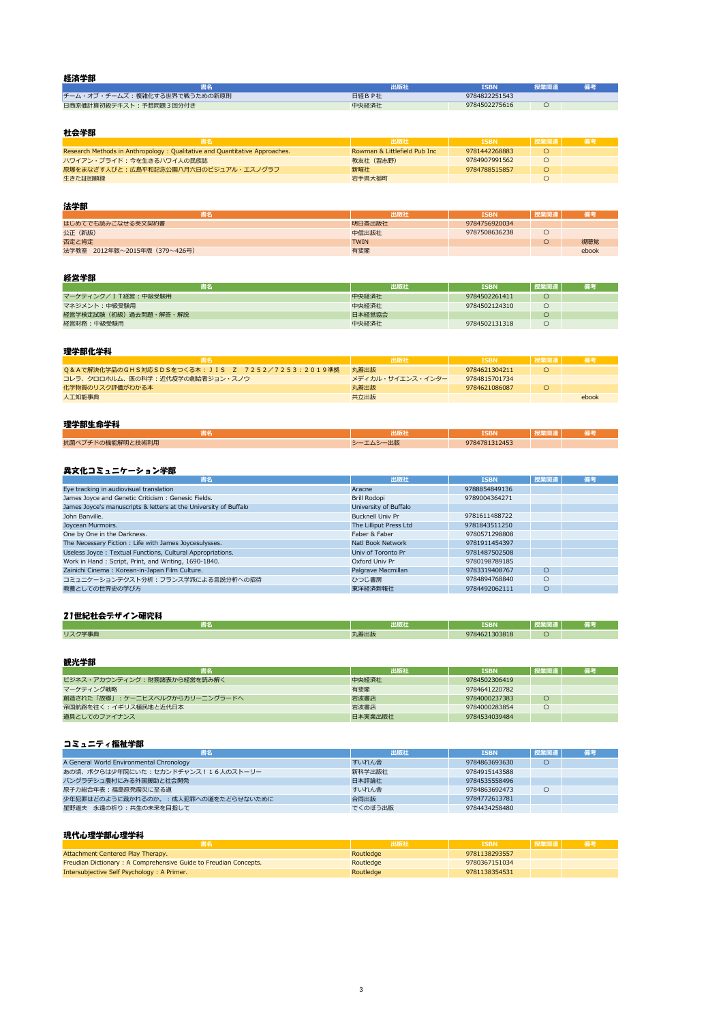| ---------                    | 出版社   | ISBN          | 授業関連 |  |
|------------------------------|-------|---------------|------|--|
| チーム・オブ・チームズ:複雑化する世界で戦うための新原則 | 日経BP社 | 9784822251543 |      |  |
| 日商原価計算初級テキスト:予想問題3回分付き       | 中央経済社 | 9784502275616 |      |  |

#### 社会学部

|                                                                            | 出版社                          | <b>ISBN</b>   | 授業関連 | - 備考 |
|----------------------------------------------------------------------------|------------------------------|---------------|------|------|
| Research Methods in Anthropology: Qualitative and Quantitative Approaches. | Rowman & Littlefield Pub Inc | 9781442268883 |      |      |
| ハワイアン・プライド:今を生きるハワイ人の民族誌                                                   | 教友社(習志野)                     | 9784907991562 |      |      |
| 原爆をまなざす人びと:広島平和記念公園八月六日のビジュアル・エスノグラフ                                       | 新曜社                          | 9784788515857 |      |      |
| 生きた証回顧録                                                                    | 岩手県大槌町                       |               |      |      |

#### 法学部

| -----                         |             |               |      |       |
|-------------------------------|-------------|---------------|------|-------|
|                               | 出版社         | ISBN          | 授業関連 |       |
| はじめてでも読みこなせる英文契約書             | 明日香出版社      | 9784756920034 |      |       |
| 公正 (新版)                       | 中信出版社       | 9787508636238 |      |       |
| 否定と肯定                         | <b>TWIN</b> |               |      | 視聴覚   |
| 法学教室 2012年版~2015年版 (379~426号) | 有斐閣         |               |      | ebook |

| 書名                    | 出版社    | ISBN          | ■ 授業関連 N | 備考 |
|-----------------------|--------|---------------|----------|----|
| マーケティング/IT経営:中級受験用    | 中央経済社  | 9784502261411 |          |    |
| マネジメント:中級受験用          | 中央経済社  | 9784502124310 |          |    |
| 経営学検定試験(初級)過去問題・解答・解説 | 日本経営協会 |               |          |    |
| 経営財務:中級受験用            | 中央経済社  | 9784502131318 |          |    |

|                                                 | 出版社              | <b>ISBN</b>   | 7. 授業関連 、 | - 備考  |
|-------------------------------------------------|------------------|---------------|-----------|-------|
| Q&Aで解決化学品のGHS対応SDSをつくる本: JIS Z 7252/7253:2019準拠 | 丸善出版             | 9784621304211 |           |       |
| - コレラ、クロロホルム、医の科学 : 近代疫学の創始者ジョン・スノウ -           | メディカル・サイエンス・インター | 9784815701734 |           |       |
| 化学物質のリスク評価がわかる本                                 | 丸善出版             | 9784621086087 |           |       |
| 人工知能事典                                          | 共立出版             |               |           | ebook |

| 3 T.                | --          | <b>SBN</b> | $\sim$ |  |
|---------------------|-------------|------------|--------|--|
| 抗菌<br>支術利用<br>השחור | $1110 - 11$ | 10112      |        |  |

| 書名                                                               | 出版社                     | <b>ISBN</b>   | 授業関連    | 備考 |
|------------------------------------------------------------------|-------------------------|---------------|---------|----|
| Eye tracking in audiovisual translation                          | Aracne                  | 9788854849136 |         |    |
| James Joyce and Genetic Criticism: Genesic Fields.               | Brill Rodopi            | 9789004364271 |         |    |
| James Joyce's manuscripts & letters at the University of Buffalo | University of Buffalo   |               |         |    |
| John Banville.                                                   | <b>Bucknell Univ Pr</b> | 9781611488722 |         |    |
| Joycean Murmoirs.                                                | The Lilliput Press Ltd  | 9781843511250 |         |    |
| One by One in the Darkness.                                      | Faber & Faber           | 9780571298808 |         |    |
| The Necessary Fiction : Life with James Joycesulysses.           | Natl Book Network       | 9781911454397 |         |    |
| Useless Joyce: Textual Functions, Cultural Appropriations.       | Univ of Toronto Pr      | 9781487502508 |         |    |
| Work in Hand: Script, Print, and Writing, 1690-1840.             | Oxford Univ Pr          | 9780198789185 |         |    |
| Zainichi Cinema: Korean-in-Japan Film Culture.                   | Palgrave Macmillan      | 9783319408767 | $\circ$ |    |
| コミュニケーションテクスト分析:フランス学派による言説分析への招待                                | ひつじ書房                   | 9784894768840 | O       |    |
| 教養としての世界史の学び方                                                    | 東洋経済新報社                 | 9784492062111 | O       |    |

|        | 电隔对  | <b>TCDN</b>   | <b>CALL COLORA</b> | --  |
|--------|------|---------------|--------------------|-----|
|        | лин  | <u>LJDIY</u>  | . <u>.</u>         | . . |
| リスク学事典 | l善出版 | 9784621303818 |                    |     |

| 書名                             | 出版社     | <b>ISBN</b>   | 授業関連 | 備考 |
|--------------------------------|---------|---------------|------|----|
| ビジネス・アカウンティング:財務諸表から経営を読み解く    | 中央経済社   | 9784502306419 |      |    |
| マーケティング戦略                      | 有斐閣     | 9784641220782 |      |    |
| 創造された「故郷」:ケーニヒスベルクからカリーニングラードへ | 岩波書店    | 9784000237383 |      |    |
| 帝国航路を往く:イギリス植民地と近代日本           | 岩波書店    | 9784000283854 |      |    |
| 道具としてのファイナンス                   | 日本実業出版社 | 9784534039484 |      |    |

| 書名                                       | 出版社     | <b>ISBN</b>   | 授業関連 | 備考 |
|------------------------------------------|---------|---------------|------|----|
| A General World Environmental Chronology | すいれん舎   | 9784863693630 |      |    |
| あの頃、ボクらは少年院にいた:セカンドチャンス!16人のストーリー        | 新科学出版社  | 9784915143588 |      |    |
| バングラデシュ農村にみる外国援助と社会開発                    | 日本評論社   | 9784535558496 |      |    |
| 原子力総合年表:福島原発震災に至る道                       | すいれん舎   | 9784863692473 | С    |    |
| 少年犯罪はどのように裁かれるのか。:成人犯罪への道をたどらせないために      | 合同出版    | 9784772613781 |      |    |
| 星野道夫 永遠の祈り:共生の未来を目指して                    | でくのぼう出版 | 9784434258480 |      |    |

|                                                                  |           | <b>ISBN</b>   | 授業関連 |  |
|------------------------------------------------------------------|-----------|---------------|------|--|
| Attachment Centered Play Therapy.                                | Routledge | 9781138293557 |      |  |
| Freudian Dictionary: A Comprehensive Guide to Freudian Concepts. | Routledge | 9780367151034 |      |  |
| Intersubjective Self Psychology: A Primer.                       | Routledge | 9781138354531 |      |  |

#### コミュニティ福祉学部

## 現代心理学部心理学科

# 21世紀社会デザイン研究科

#### 経済学部

#### 経営学部

## 異文化コミュニケーション学部

#### 理学部化学科

#### 理学部生命学科

#### 観光学部